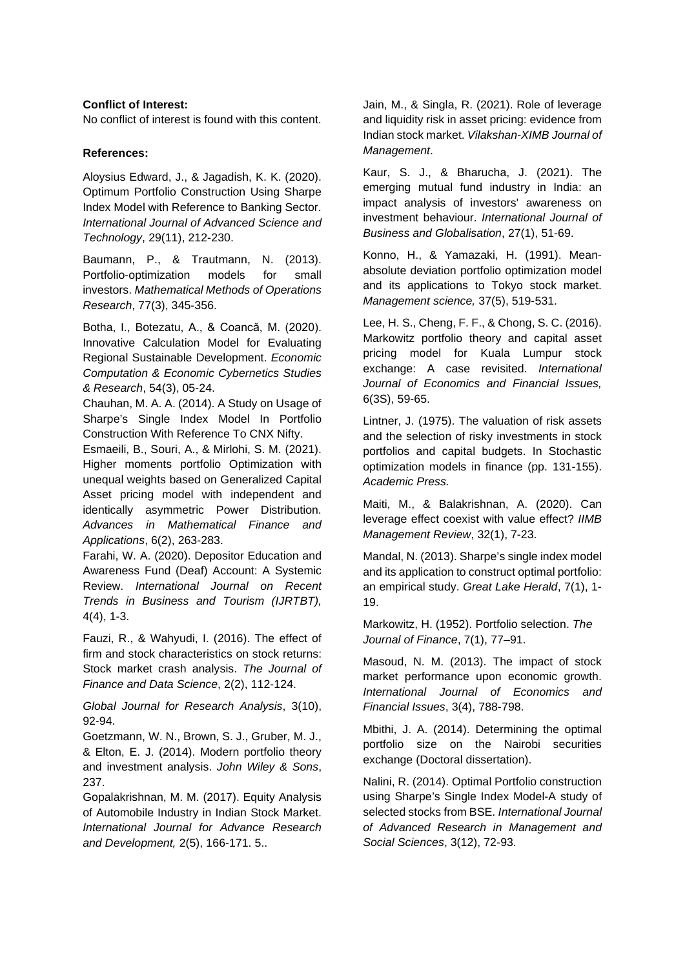Asia-Pacific J.Mgmt. Tech. Volume 2(4) XX- XX

## **Conflict of Interest:**

No conflict of interest is found with this content.

## **References:**

Aloysius Edward, J., & Jagadish, K. K. (2020). Optimum Portfolio Construction Using Sharpe Index Model with Reference to Banking Sector. *International Journal of Advanced Science and Technology*, 29(11), 212-230.

Baumann, P., & Trautmann, N. (2013). Portfolio-optimization models for small investors. *Mathematical Methods of Operations Research*, 77(3), 345-356.

Botha, I., Botezatu, A., & Coancă, M. (2020). Innovative Calculation Model for Evaluating Regional Sustainable Development. *Economic Computation & Economic Cybernetics Studies & Research*, 54(3), 05-24.

Chauhan, M. A. A. (2014). A Study on Usage of Sharpe's Single Index Model In Portfolio Construction With Reference To CNX Nifty. Esmaeili, B., Souri, A., & Mirlohi, S. M. (202<sup>1</sup>). Higher moments portfolio Optimization with unequal weights based on Generalized Capital Asset pricing model with independent and identically asymmetric  $P$  of  $D<sub>k</sub>$  ution. Advances in Mathem<sup>a</sup> al Finan<sup>d</sup> and *Applications*, 6(2), 263 3. Farahi, W. A. (2020).  $\mathbf{D}_s$  sitor E Franching Record Formula (1991). The all about deviation of the selection of the selection of the selection of the selection of the selection of the selection of the selection of the selection of the selection of the sele

Awareness Fund (Deaf) And A Systemic Review. *International Journal on Recent Trends in Asiness and Tourism (IJRTBT),*  $4(4), 1$ 

Fauzi, & Wahyudi, I.  $(2, 6)$ . The effect of firm and sk characteristics on stock returns: Stock market crash analy **The Journal of** *Finance and Data Science*, 2(2), 112-124.

*Global Journal for Rearch Analysis*, 3(10), 92-94.

Goetzmann, W. N., Brown, S. J., Gruber, M. J., & Elton, E. J. (2014). Modern portfolio theory and investment analysis. *John Wiley & Sons*, 237.

Gopalakrishnan, M. M. (2017). Equity Analysis of Automobile Industry in Indian Stock Market. *International Journal for Advance Research and Development,* 2(5), 166-171. 5..

Jain, M., & Singla, R. (2021). Role of leverage and liquidity risk in asset pricing: evidence from Indian stock market. *Vilakshan-XIMB Journal of Management*.

Kaur, S. J., & Bharucha, J. (2021). The emerging mutual fund industry in India: an impact analysis of investors' awareness on investment behaviour. *International Journal of Business and Globalisation*, 27(1), 51-69.

Konno, H., & Yamazaki, H. (1991). Meanabsolute deviation  $\sim$  olio optimization model and its applications Tokyo stock market. *Management nce,* 37, 519-531.

Lee, H. S., heng, F. F., & Chong, S. C. (2016). Markow portfolio theory and apital asset pric<sup>i</sup> model for Kuala Lumpur stock ange: A se revisited. *International* of *F* nomics and Financial Issues,  $6(35)$ 

Lintner,  $\sqrt{275}$ . The valuation of risk assets and the selection of risky investments in stock  $p$ lios and capital budgets. In Stochastic models in finance (pp. 131-155). *Academic Press.*

Maiti, M., & Balakrishnan, A. (2020). Can leverage effect coexist with value effect? *IIMB Management Review*, 32(1), 7-23.

Mandal, N. (2013). Sharpe's single index model and its application to construct optimal portfolio: an empirical study. *Great Lake Herald*, 7(1), 1- 19.

Markowitz, H. (1952). Portfolio selection. *The Journal of Finance*, 7(1), 77–91.

Masoud, N. M. (2013). The impact of stock market performance upon economic growth. *International Journal of Economics and Financial Issues*, 3(4), 788-798.

Mbithi, J. A. (2014). Determining the optimal portfolio size on the Nairobi securities exchange (Doctoral dissertation).

Nalini, R. (2014). Optimal Portfolio construction using Sharpe's Single Index Model-A study of selected stocks from BSE. *International Journal of Advanced Research in Management and Social Sciences*, 3(12), 72-93.